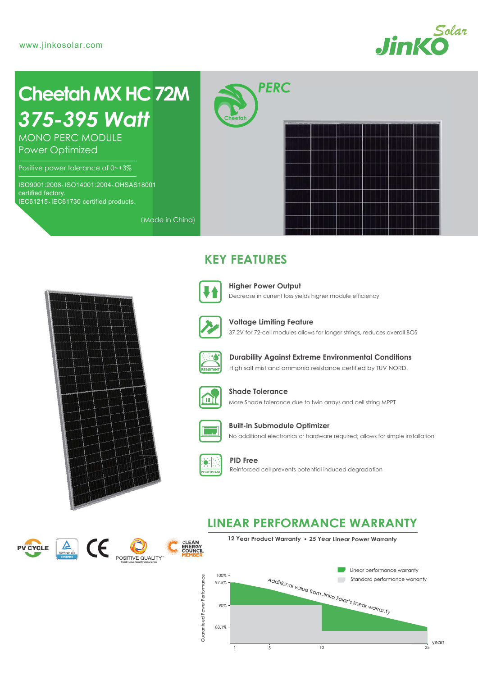

# *375-395 Watt* **Cheetah MX HC 72M**

MONO PERC MODULE Power Optimized

Positive power tolerance of 0~+3%

ISO9001:2008、ISO14001:2004、OHSAS18001 certified factory. IEC61215、IEC61730 certified products.

*PERC*

**Cheetah**



## **KEY FEATURES**



(Made in China)

Decrease in current loss yields higher module efficiency **Higher Power Output**



37.2V for 72-cell modules allows for longer strings, reduces overall BOS **Voltage Limiting Feature**



High salt mist and ammonia resistance certified by TUV NORD. **Durability Against Extreme Environmental Conditions**



More Shade tolerance due to twin arrays and cell string MPPT **Shade Tolerance**



No additional electronics or hardware required; allows for simple installation **Built-in Submodule Optimizer**



**PID Free** Reinforced cell prevents potential induced degradation

## **LINEAR PERFORMANCE WARRANTY**